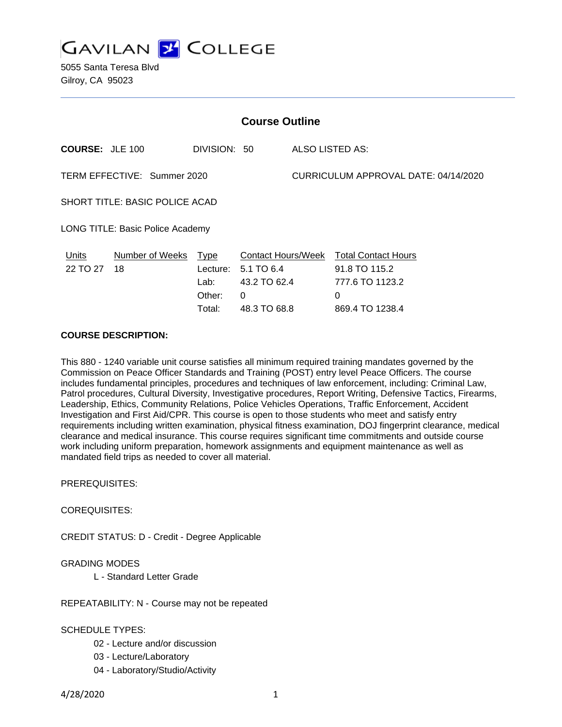

5055 Santa Teresa Blvd Gilroy, CA 95023

| <b>Course Outline</b>                 |                            |                            |                                                       |                                      |                                                                     |
|---------------------------------------|----------------------------|----------------------------|-------------------------------------------------------|--------------------------------------|---------------------------------------------------------------------|
| <b>COURSE: JLE 100</b>                |                            | DIVISION: 50               |                                                       | <b>ALSO LISTED AS:</b>               |                                                                     |
| TERM EFFECTIVE: Summer 2020           |                            |                            |                                                       | CURRICULUM APPROVAL DATE: 04/14/2020 |                                                                     |
| <b>SHORT TITLE: BASIC POLICE ACAD</b> |                            |                            |                                                       |                                      |                                                                     |
| LONG TITLE: Basic Police Academy      |                            |                            |                                                       |                                      |                                                                     |
| Units<br>22 TO 27                     | Number of Weeks Type<br>18 | Lecture:<br>Lab:<br>Other: | Contact Hours/Week<br>5.1 TO 6.4<br>43.2 TO 62.4<br>0 |                                      | <b>Total Contact Hours</b><br>91.8 TO 115.2<br>777.6 TO 1123.2<br>0 |
|                                       |                            | Total:                     | 48.3 TO 68.8                                          |                                      | 869.4 TO 1238.4                                                     |

#### **COURSE DESCRIPTION:**

This 880 - 1240 variable unit course satisfies all minimum required training mandates governed by the Commission on Peace Officer Standards and Training (POST) entry level Peace Officers. The course includes fundamental principles, procedures and techniques of law enforcement, including: Criminal Law, Patrol procedures, Cultural Diversity, Investigative procedures, Report Writing, Defensive Tactics, Firearms, Leadership, Ethics, Community Relations, Police Vehicles Operations, Traffic Enforcement, Accident Investigation and First Aid/CPR. This course is open to those students who meet and satisfy entry requirements including written examination, physical fitness examination, DOJ fingerprint clearance, medical clearance and medical insurance. This course requires significant time commitments and outside course work including uniform preparation, homework assignments and equipment maintenance as well as mandated field trips as needed to cover all material.

PREREQUISITES:

COREQUISITES:

CREDIT STATUS: D - Credit - Degree Applicable

### GRADING MODES

L - Standard Letter Grade

REPEATABILITY: N - Course may not be repeated

SCHEDULE TYPES:

- 02 Lecture and/or discussion
- 03 Lecture/Laboratory
- 04 Laboratory/Studio/Activity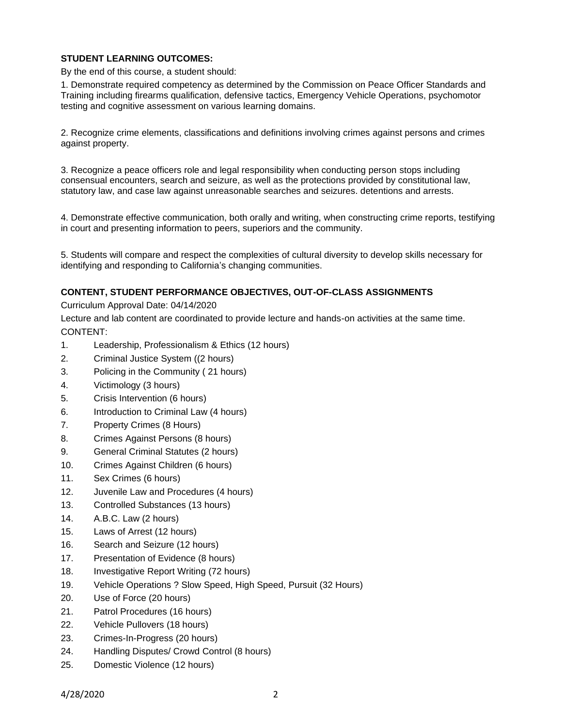## **STUDENT LEARNING OUTCOMES:**

By the end of this course, a student should:

1. Demonstrate required competency as determined by the Commission on Peace Officer Standards and Training including firearms qualification, defensive tactics, Emergency Vehicle Operations, psychomotor testing and cognitive assessment on various learning domains.

2. Recognize crime elements, classifications and definitions involving crimes against persons and crimes against property.

3. Recognize a peace officers role and legal responsibility when conducting person stops including consensual encounters, search and seizure, as well as the protections provided by constitutional law, statutory law, and case law against unreasonable searches and seizures. detentions and arrests.

4. Demonstrate effective communication, both orally and writing, when constructing crime reports, testifying in court and presenting information to peers, superiors and the community.

5. Students will compare and respect the complexities of cultural diversity to develop skills necessary for identifying and responding to California's changing communities.

## **CONTENT, STUDENT PERFORMANCE OBJECTIVES, OUT-OF-CLASS ASSIGNMENTS**

Curriculum Approval Date: 04/14/2020

Lecture and lab content are coordinated to provide lecture and hands-on activities at the same time. CONTENT:

- 1. Leadership, Professionalism & Ethics (12 hours)
- 2. Criminal Justice System ((2 hours)
- 3. Policing in the Community ( 21 hours)
- 4. Victimology (3 hours)
- 5. Crisis Intervention (6 hours)
- 6. Introduction to Criminal Law (4 hours)
- 7. Property Crimes (8 Hours)
- 8. Crimes Against Persons (8 hours)
- 9. General Criminal Statutes (2 hours)
- 10. Crimes Against Children (6 hours)
- 11. Sex Crimes (6 hours)
- 12. Juvenile Law and Procedures (4 hours)
- 13. Controlled Substances (13 hours)
- 14. A.B.C. Law (2 hours)
- 15. Laws of Arrest (12 hours)
- 16. Search and Seizure (12 hours)
- 17. Presentation of Evidence (8 hours)
- 18. Investigative Report Writing (72 hours)
- 19. Vehicle Operations ? Slow Speed, High Speed, Pursuit (32 Hours)
- 20. Use of Force (20 hours)
- 21. Patrol Procedures (16 hours)
- 22. Vehicle Pullovers (18 hours)
- 23. Crimes-In-Progress (20 hours)
- 24. Handling Disputes/ Crowd Control (8 hours)
- 25. Domestic Violence (12 hours)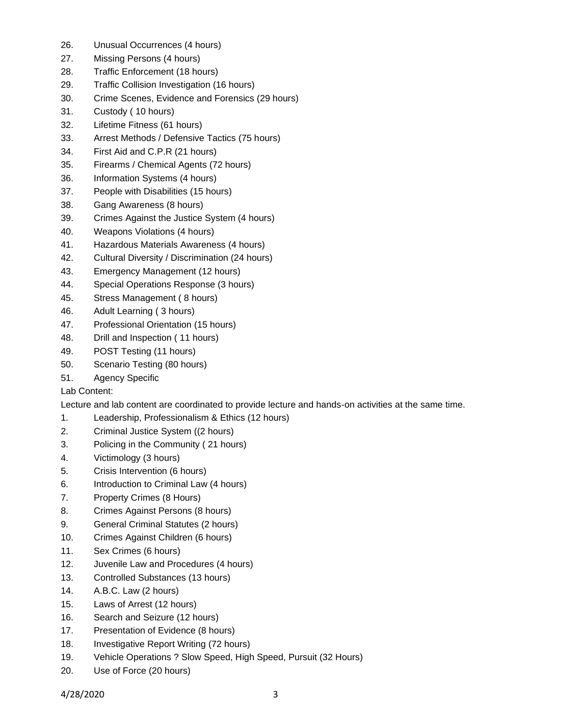- 26. Unusual Occurrences (4 hours)
- 27. Missing Persons (4 hours)
- 28. Traffic Enforcement (18 hours)
- 29. Traffic Collision Investigation (16 hours)
- 30. Crime Scenes, Evidence and Forensics (29 hours)
- 31. Custody ( 10 hours)
- 32. Lifetime Fitness (61 hours)
- 33. Arrest Methods / Defensive Tactics (75 hours)
- 34. First Aid and C.P.R (21 hours)
- 35. Firearms / Chemical Agents (72 hours)
- 36. Information Systems (4 hours)
- 37. People with Disabilities (15 hours)
- 38. Gang Awareness (8 hours)
- 39. Crimes Against the Justice System (4 hours)
- 40. Weapons Violations (4 hours)
- 41. Hazardous Materials Awareness (4 hours)
- 42. Cultural Diversity / Discrimination (24 hours)
- 43. Emergency Management (12 hours)
- 44. Special Operations Response (3 hours)
- 45. Stress Management ( 8 hours)
- 46. Adult Learning ( 3 hours)
- 47. Professional Orientation (15 hours)
- 48. Drill and Inspection ( 11 hours)
- 49. POST Testing (11 hours)
- 50. Scenario Testing (80 hours)
- 51. Agency Specific

# Lab Content:

Lecture and lab content are coordinated to provide lecture and hands-on activities at the same time.

- 1. Leadership, Professionalism & Ethics (12 hours)
- 2. Criminal Justice System ((2 hours)
- 3. Policing in the Community ( 21 hours)
- 4. Victimology (3 hours)
- 5. Crisis Intervention (6 hours)
- 6. Introduction to Criminal Law (4 hours)
- 7. Property Crimes (8 Hours)
- 8. Crimes Against Persons (8 hours)
- 9. General Criminal Statutes (2 hours)
- 10. Crimes Against Children (6 hours)
- 11. Sex Crimes (6 hours)
- 12. Juvenile Law and Procedures (4 hours)
- 13. Controlled Substances (13 hours)
- 14. A.B.C. Law (2 hours)
- 15. Laws of Arrest (12 hours)
- 16. Search and Seizure (12 hours)
- 17. Presentation of Evidence (8 hours)
- 18. Investigative Report Writing (72 hours)
- 19. Vehicle Operations ? Slow Speed, High Speed, Pursuit (32 Hours)
- 20. Use of Force (20 hours)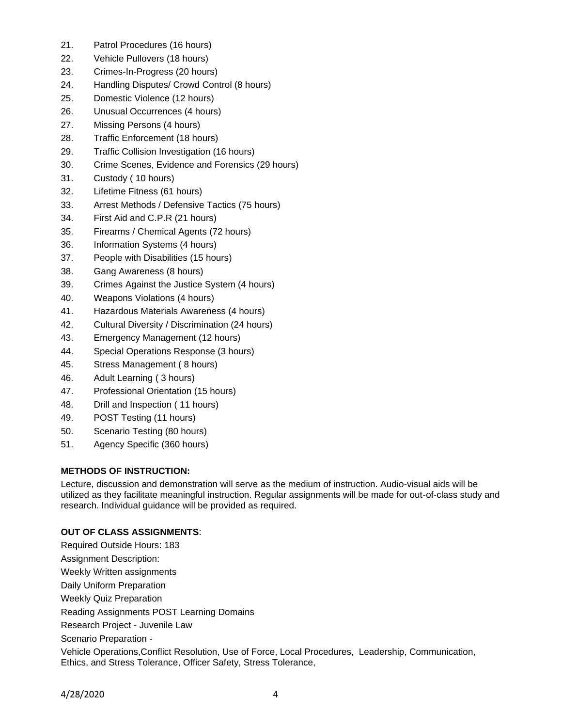- 21. Patrol Procedures (16 hours)
- 22. Vehicle Pullovers (18 hours)
- 23. Crimes-In-Progress (20 hours)
- 24. Handling Disputes/ Crowd Control (8 hours)
- 25. Domestic Violence (12 hours)
- 26. Unusual Occurrences (4 hours)
- 27. Missing Persons (4 hours)
- 28. Traffic Enforcement (18 hours)
- 29. Traffic Collision Investigation (16 hours)
- 30. Crime Scenes, Evidence and Forensics (29 hours)
- 31. Custody ( 10 hours)
- 32. Lifetime Fitness (61 hours)
- 33. Arrest Methods / Defensive Tactics (75 hours)
- 34. First Aid and C.P.R (21 hours)
- 35. Firearms / Chemical Agents (72 hours)
- 36. Information Systems (4 hours)
- 37. People with Disabilities (15 hours)
- 38. Gang Awareness (8 hours)
- 39. Crimes Against the Justice System (4 hours)
- 40. Weapons Violations (4 hours)
- 41. Hazardous Materials Awareness (4 hours)
- 42. Cultural Diversity / Discrimination (24 hours)
- 43. Emergency Management (12 hours)
- 44. Special Operations Response (3 hours)
- 45. Stress Management ( 8 hours)
- 46. Adult Learning ( 3 hours)
- 47. Professional Orientation (15 hours)
- 48. Drill and Inspection ( 11 hours)
- 49. POST Testing (11 hours)
- 50. Scenario Testing (80 hours)
- 51. Agency Specific (360 hours)

# **METHODS OF INSTRUCTION:**

Lecture, discussion and demonstration will serve as the medium of instruction. Audio-visual aids will be utilized as they facilitate meaningful instruction. Regular assignments will be made for out-of-class study and research. Individual guidance will be provided as required.

# **OUT OF CLASS ASSIGNMENTS**:

Required Outside Hours: 183 Assignment Description: Weekly Written assignments Daily Uniform Preparation Weekly Quiz Preparation Reading Assignments POST Learning Domains Research Project - Juvenile Law Scenario Preparation - Vehicle Operations,Conflict Resolution, Use of Force, Local Procedures, Leadership, Communication, Ethics, and Stress Tolerance, Officer Safety, Stress Tolerance,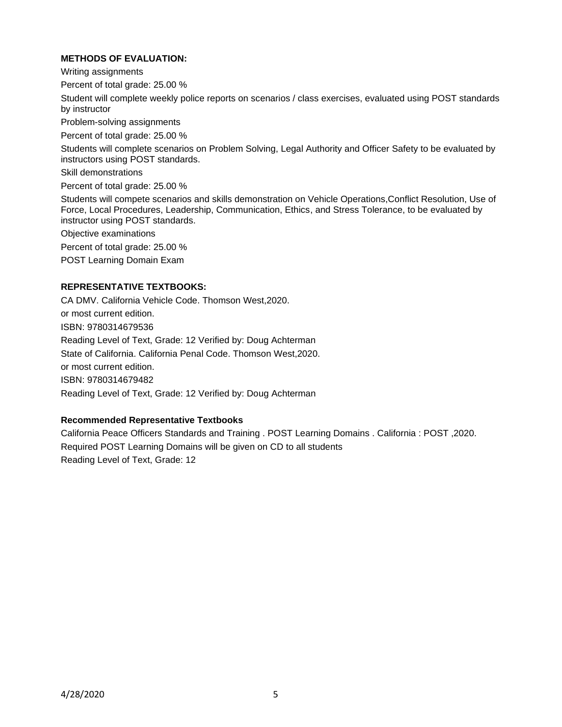### **METHODS OF EVALUATION:**

Writing assignments

Percent of total grade: 25.00 %

Student will complete weekly police reports on scenarios / class exercises, evaluated using POST standards by instructor

Problem-solving assignments

Percent of total grade: 25.00 %

Students will complete scenarios on Problem Solving, Legal Authority and Officer Safety to be evaluated by instructors using POST standards.

Skill demonstrations

Percent of total grade: 25.00 %

Students will compete scenarios and skills demonstration on Vehicle Operations,Conflict Resolution, Use of Force, Local Procedures, Leadership, Communication, Ethics, and Stress Tolerance, to be evaluated by instructor using POST standards.

Objective examinations

Percent of total grade: 25.00 %

POST Learning Domain Exam

### **REPRESENTATIVE TEXTBOOKS:**

CA DMV. California Vehicle Code. Thomson West,2020. or most current edition. ISBN: 9780314679536 Reading Level of Text, Grade: 12 Verified by: Doug Achterman State of California. California Penal Code. Thomson West,2020. or most current edition. ISBN: 9780314679482 Reading Level of Text, Grade: 12 Verified by: Doug Achterman

### **Recommended Representative Textbooks**

California Peace Officers Standards and Training . POST Learning Domains . California : POST ,2020. Required POST Learning Domains will be given on CD to all students Reading Level of Text, Grade: 12